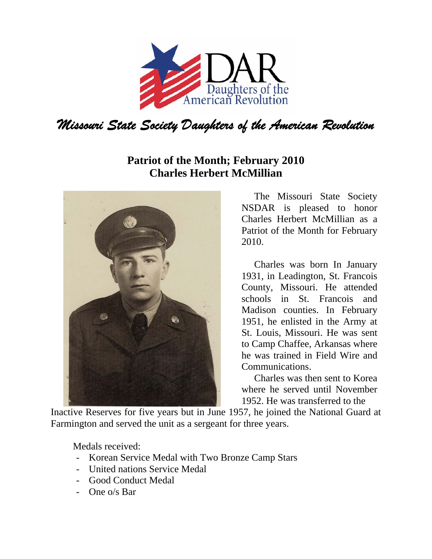

## **Patriot of the Month; February 2010 Charles Herbert McMillian**



The Missouri State Society NSDAR is pleased to honor Charles Herbert McMillian as a Patriot of the Month for February 2010.

Charles was born In January 1931, in Leadington, St. Francois County, Missouri. He attended schools in St. Francois and Madison counties. In February 1951, he enlisted in the Army at St. Louis, Missouri. He was sent to Camp Chaffee, Arkansas where he was trained in Field Wire and Communications.

Charles was then sent to Korea where he served until November 1952. He was transferred to the

Inactive Reserves for five years but in June 1957, he joined the National Guard at Farmington and served the unit as a sergeant for three years.

Medals received:

- Korean Service Medal with Two Bronze Camp Stars
- United nations Service Medal
- Good Conduct Medal
- One o/s Bar